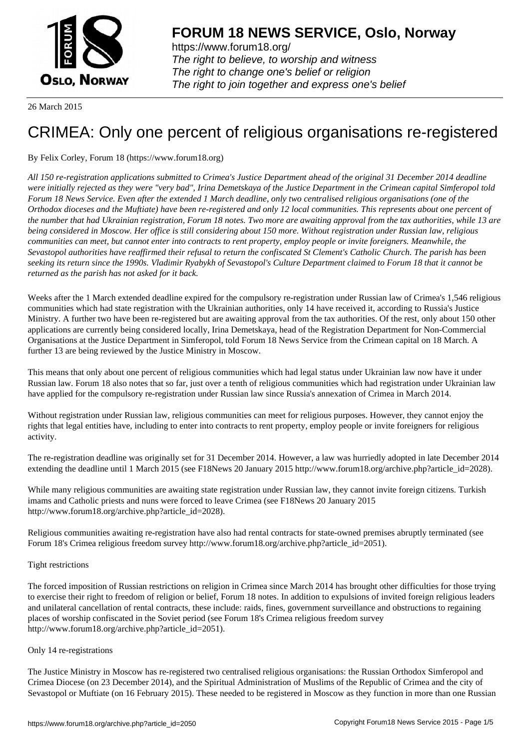

https://www.forum18.org/ The right to believe, to worship and witness The right to change one's belief or religion [The right to join together a](https://www.forum18.org/)nd express one's belief

26 March 2015

# [CRIMEA: Only](https://www.forum18.org) one percent of religious organisations re-registered

By Felix Corley, Forum 18 (https://www.forum18.org)

*All 150 re-registration applications submitted to Crimea's Justice Department ahead of the original 31 December 2014 deadline were initially rejected as they were "very bad", Irina Demetskaya of the Justice Department in the Crimean capital Simferopol told Forum 18 News Service. Even after the extended 1 March deadline, only two centralised religious organisations (one of the Orthodox dioceses and the Muftiate) have been re-registered and only 12 local communities. This represents about one percent of the number that had Ukrainian registration, Forum 18 notes. Two more are awaiting approval from the tax authorities, while 13 are being considered in Moscow. Her office is still considering about 150 more. Without registration under Russian law, religious communities can meet, but cannot enter into contracts to rent property, employ people or invite foreigners. Meanwhile, the Sevastopol authorities have reaffirmed their refusal to return the confiscated St Clement's Catholic Church. The parish has been seeking its return since the 1990s. Vladimir Ryabykh of Sevastopol's Culture Department claimed to Forum 18 that it cannot be returned as the parish has not asked for it back.*

Weeks after the 1 March extended deadline expired for the compulsory re-registration under Russian law of Crimea's 1,546 religious communities which had state registration with the Ukrainian authorities, only 14 have received it, according to Russia's Justice Ministry. A further two have been re-registered but are awaiting approval from the tax authorities. Of the rest, only about 150 other applications are currently being considered locally, Irina Demetskaya, head of the Registration Department for Non-Commercial Organisations at the Justice Department in Simferopol, told Forum 18 News Service from the Crimean capital on 18 March. A further 13 are being reviewed by the Justice Ministry in Moscow.

This means that only about one percent of religious communities which had legal status under Ukrainian law now have it under Russian law. Forum 18 also notes that so far, just over a tenth of religious communities which had registration under Ukrainian law have applied for the compulsory re-registration under Russian law since Russia's annexation of Crimea in March 2014.

Without registration under Russian law, religious communities can meet for religious purposes. However, they cannot enjoy the rights that legal entities have, including to enter into contracts to rent property, employ people or invite foreigners for religious activity.

The re-registration deadline was originally set for 31 December 2014. However, a law was hurriedly adopted in late December 2014 extending the deadline until 1 March 2015 (see F18News 20 January 2015 http://www.forum18.org/archive.php?article\_id=2028).

While many religious communities are awaiting state registration under Russian law, they cannot invite foreign citizens. Turkish imams and Catholic priests and nuns were forced to leave Crimea (see F18News 20 January 2015 http://www.forum18.org/archive.php?article\_id=2028).

Religious communities awaiting re-registration have also had rental contracts for state-owned premises abruptly terminated (see Forum 18's Crimea religious freedom survey http://www.forum18.org/archive.php?article\_id=2051).

# Tight restrictions

The forced imposition of Russian restrictions on religion in Crimea since March 2014 has brought other difficulties for those trying to exercise their right to freedom of religion or belief, Forum 18 notes. In addition to expulsions of invited foreign religious leaders and unilateral cancellation of rental contracts, these include: raids, fines, government surveillance and obstructions to regaining places of worship confiscated in the Soviet period (see Forum 18's Crimea religious freedom survey http://www.forum18.org/archive.php?article\_id=2051).

# Only 14 re-registrations

The Justice Ministry in Moscow has re-registered two centralised religious organisations: the Russian Orthodox Simferopol and Crimea Diocese (on 23 December 2014), and the Spiritual Administration of Muslims of the Republic of Crimea and the city of Sevastopol or Muftiate (on 16 February 2015). These needed to be registered in Moscow as they function in more than one Russian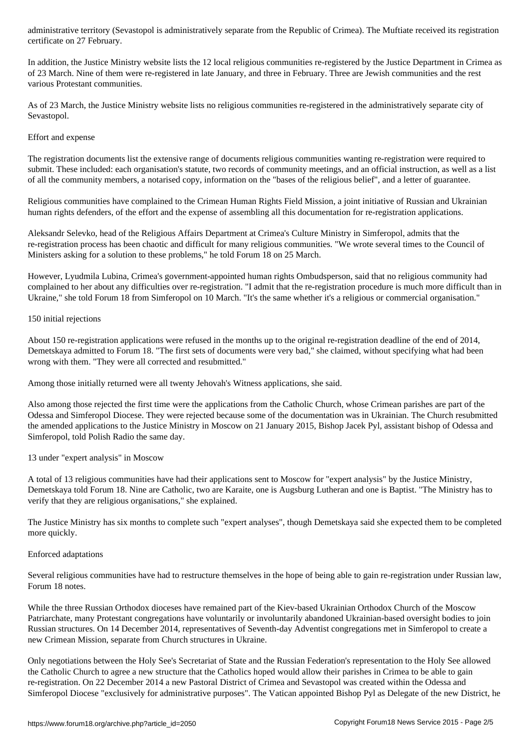In addition, the Justice Ministry website lists the 12 local religious communities re-registered by the Justice Department in Crimea as of 23 March. Nine of them were re-registered in late January, and three in February. Three are Jewish communities and the rest various Protestant communities.

As of 23 March, the Justice Ministry website lists no religious communities re-registered in the administratively separate city of Sevastopol.

## Effort and expense

certificate on 27 February.

The registration documents list the extensive range of documents religious communities wanting re-registration were required to submit. These included: each organisation's statute, two records of community meetings, and an official instruction, as well as a list of all the community members, a notarised copy, information on the "bases of the religious belief", and a letter of guarantee.

Religious communities have complained to the Crimean Human Rights Field Mission, a joint initiative of Russian and Ukrainian human rights defenders, of the effort and the expense of assembling all this documentation for re-registration applications.

Aleksandr Selevko, head of the Religious Affairs Department at Crimea's Culture Ministry in Simferopol, admits that the re-registration process has been chaotic and difficult for many religious communities. "We wrote several times to the Council of Ministers asking for a solution to these problems," he told Forum 18 on 25 March.

However, Lyudmila Lubina, Crimea's government-appointed human rights Ombudsperson, said that no religious community had complained to her about any difficulties over re-registration. "I admit that the re-registration procedure is much more difficult than in Ukraine," she told Forum 18 from Simferopol on 10 March. "It's the same whether it's a religious or commercial organisation."

### 150 initial rejections

About 150 re-registration applications were refused in the months up to the original re-registration deadline of the end of 2014, Demetskaya admitted to Forum 18. "The first sets of documents were very bad," she claimed, without specifying what had been wrong with them. "They were all corrected and resubmitted."

Among those initially returned were all twenty Jehovah's Witness applications, she said.

Also among those rejected the first time were the applications from the Catholic Church, whose Crimean parishes are part of the Odessa and Simferopol Diocese. They were rejected because some of the documentation was in Ukrainian. The Church resubmitted the amended applications to the Justice Ministry in Moscow on 21 January 2015, Bishop Jacek Pyl, assistant bishop of Odessa and Simferopol, told Polish Radio the same day.

13 under "expert analysis" in Moscow

A total of 13 religious communities have had their applications sent to Moscow for "expert analysis" by the Justice Ministry, Demetskaya told Forum 18. Nine are Catholic, two are Karaite, one is Augsburg Lutheran and one is Baptist. "The Ministry has to verify that they are religious organisations," she explained.

The Justice Ministry has six months to complete such "expert analyses", though Demetskaya said she expected them to be completed more quickly.

# Enforced adaptations

Several religious communities have had to restructure themselves in the hope of being able to gain re-registration under Russian law, Forum 18 notes.

While the three Russian Orthodox dioceses have remained part of the Kiev-based Ukrainian Orthodox Church of the Moscow Patriarchate, many Protestant congregations have voluntarily or involuntarily abandoned Ukrainian-based oversight bodies to join Russian structures. On 14 December 2014, representatives of Seventh-day Adventist congregations met in Simferopol to create a new Crimean Mission, separate from Church structures in Ukraine.

Only negotiations between the Holy See's Secretariat of State and the Russian Federation's representation to the Holy See allowed the Catholic Church to agree a new structure that the Catholics hoped would allow their parishes in Crimea to be able to gain re-registration. On 22 December 2014 a new Pastoral District of Crimea and Sevastopol was created within the Odessa and Simferopol Diocese "exclusively for administrative purposes". The Vatican appointed Bishop Pyl as Delegate of the new District, he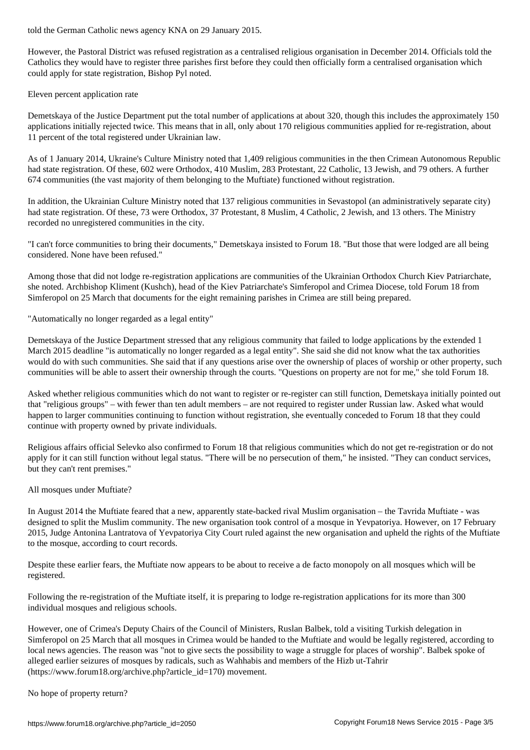However, the Pastoral District was refused registration as a centralised religious organisation in December 2014. Officials told the Catholics they would have to register three parishes first before they could then officially form a centralised organisation which could apply for state registration, Bishop Pyl noted.

## Eleven percent application rate

Demetskaya of the Justice Department put the total number of applications at about 320, though this includes the approximately 150 applications initially rejected twice. This means that in all, only about 170 religious communities applied for re-registration, about 11 percent of the total registered under Ukrainian law.

As of 1 January 2014, Ukraine's Culture Ministry noted that 1,409 religious communities in the then Crimean Autonomous Republic had state registration. Of these, 602 were Orthodox, 410 Muslim, 283 Protestant, 22 Catholic, 13 Jewish, and 79 others. A further 674 communities (the vast majority of them belonging to the Muftiate) functioned without registration.

In addition, the Ukrainian Culture Ministry noted that 137 religious communities in Sevastopol (an administratively separate city) had state registration. Of these, 73 were Orthodox, 37 Protestant, 8 Muslim, 4 Catholic, 2 Jewish, and 13 others. The Ministry recorded no unregistered communities in the city.

"I can't force communities to bring their documents," Demetskaya insisted to Forum 18. "But those that were lodged are all being considered. None have been refused."

Among those that did not lodge re-registration applications are communities of the Ukrainian Orthodox Church Kiev Patriarchate, she noted. Archbishop Kliment (Kushch), head of the Kiev Patriarchate's Simferopol and Crimea Diocese, told Forum 18 from Simferopol on 25 March that documents for the eight remaining parishes in Crimea are still being prepared.

"Automatically no longer regarded as a legal entity"

Demetskaya of the Justice Department stressed that any religious community that failed to lodge applications by the extended 1 March 2015 deadline "is automatically no longer regarded as a legal entity". She said she did not know what the tax authorities would do with such communities. She said that if any questions arise over the ownership of places of worship or other property, such communities will be able to assert their ownership through the courts. "Questions on property are not for me," she told Forum 18.

Asked whether religious communities which do not want to register or re-register can still function, Demetskaya initially pointed out that "religious groups" – with fewer than ten adult members – are not required to register under Russian law. Asked what would happen to larger communities continuing to function without registration, she eventually conceded to Forum 18 that they could continue with property owned by private individuals.

Religious affairs official Selevko also confirmed to Forum 18 that religious communities which do not get re-registration or do not apply for it can still function without legal status. "There will be no persecution of them," he insisted. "They can conduct services, but they can't rent premises."

All mosques under Muftiate?

In August 2014 the Muftiate feared that a new, apparently state-backed rival Muslim organisation – the Tavrida Muftiate - was designed to split the Muslim community. The new organisation took control of a mosque in Yevpatoriya. However, on 17 February 2015, Judge Antonina Lantratova of Yevpatoriya City Court ruled against the new organisation and upheld the rights of the Muftiate to the mosque, according to court records.

Despite these earlier fears, the Muftiate now appears to be about to receive a de facto monopoly on all mosques which will be registered.

Following the re-registration of the Muftiate itself, it is preparing to lodge re-registration applications for its more than 300 individual mosques and religious schools.

However, one of Crimea's Deputy Chairs of the Council of Ministers, Ruslan Balbek, told a visiting Turkish delegation in Simferopol on 25 March that all mosques in Crimea would be handed to the Muftiate and would be legally registered, according to local news agencies. The reason was "not to give sects the possibility to wage a struggle for places of worship". Balbek spoke of alleged earlier seizures of mosques by radicals, such as Wahhabis and members of the Hizb ut-Tahrir (https://www.forum18.org/archive.php?article\_id=170) movement.

No hope of property return?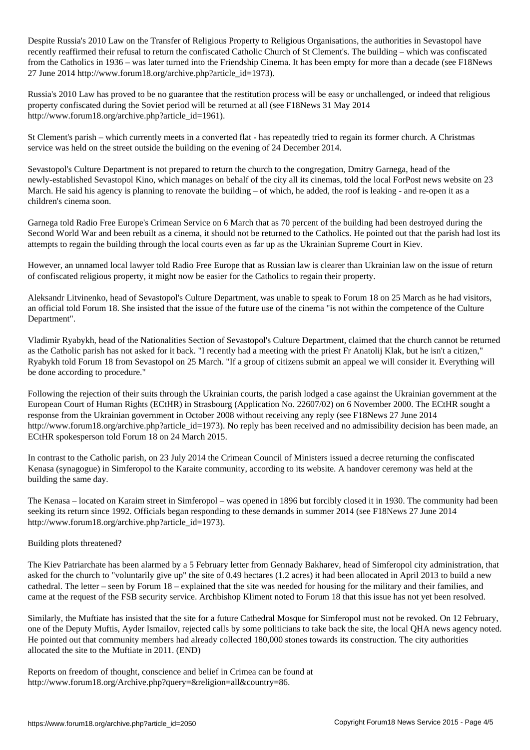Despite Russia's 2010 Law on the Transfer of Religious Property to Religious Organisations, the authorities in Sevastopol have recently reaffirmed their refusal to return the confiscated Catholic Church of St Clement's. The building – which was confiscated from the Catholics in 1936 – was later turned into the Friendship Cinema. It has been empty for more than a decade (see F18News 27 June 2014 http://www.forum18.org/archive.php?article\_id=1973).

Russia's 2010 Law has proved to be no guarantee that the restitution process will be easy or unchallenged, or indeed that religious property confiscated during the Soviet period will be returned at all (see F18News 31 May 2014 http://www.forum18.org/archive.php?article\_id=1961).

St Clement's parish – which currently meets in a converted flat - has repeatedly tried to regain its former church. A Christmas service was held on the street outside the building on the evening of 24 December 2014.

Sevastopol's Culture Department is not prepared to return the church to the congregation, Dmitry Garnega, head of the newly-established Sevastopol Kino, which manages on behalf of the city all its cinemas, told the local ForPost news website on 23 March. He said his agency is planning to renovate the building – of which, he added, the roof is leaking - and re-open it as a children's cinema soon.

Garnega told Radio Free Europe's Crimean Service on 6 March that as 70 percent of the building had been destroyed during the Second World War and been rebuilt as a cinema, it should not be returned to the Catholics. He pointed out that the parish had lost its attempts to regain the building through the local courts even as far up as the Ukrainian Supreme Court in Kiev.

However, an unnamed local lawyer told Radio Free Europe that as Russian law is clearer than Ukrainian law on the issue of return of confiscated religious property, it might now be easier for the Catholics to regain their property.

Aleksandr Litvinenko, head of Sevastopol's Culture Department, was unable to speak to Forum 18 on 25 March as he had visitors, an official told Forum 18. She insisted that the issue of the future use of the cinema "is not within the competence of the Culture Department".

Vladimir Ryabykh, head of the Nationalities Section of Sevastopol's Culture Department, claimed that the church cannot be returned as the Catholic parish has not asked for it back. "I recently had a meeting with the priest Fr Anatolij Klak, but he isn't a citizen," Ryabykh told Forum 18 from Sevastopol on 25 March. "If a group of citizens submit an appeal we will consider it. Everything will be done according to procedure."

Following the rejection of their suits through the Ukrainian courts, the parish lodged a case against the Ukrainian government at the European Court of Human Rights (ECtHR) in Strasbourg (Application No. 22607/02) on 6 November 2000. The ECtHR sought a response from the Ukrainian government in October 2008 without receiving any reply (see F18News 27 June 2014 http://www.forum18.org/archive.php?article\_id=1973). No reply has been received and no admissibility decision has been made, an ECtHR spokesperson told Forum 18 on 24 March 2015.

In contrast to the Catholic parish, on 23 July 2014 the Crimean Council of Ministers issued a decree returning the confiscated Kenasa (synagogue) in Simferopol to the Karaite community, according to its website. A handover ceremony was held at the building the same day.

The Kenasa – located on Karaim street in Simferopol – was opened in 1896 but forcibly closed it in 1930. The community had been seeking its return since 1992. Officials began responding to these demands in summer 2014 (see F18News 27 June 2014 http://www.forum18.org/archive.php?article\_id=1973).

# Building plots threatened?

The Kiev Patriarchate has been alarmed by a 5 February letter from Gennady Bakharev, head of Simferopol city administration, that asked for the church to "voluntarily give up" the site of 0.49 hectares (1.2 acres) it had been allocated in April 2013 to build a new cathedral. The letter – seen by Forum 18 – explained that the site was needed for housing for the military and their families, and came at the request of the FSB security service. Archbishop Kliment noted to Forum 18 that this issue has not yet been resolved.

Similarly, the Muftiate has insisted that the site for a future Cathedral Mosque for Simferopol must not be revoked. On 12 February, one of the Deputy Muftis, Ayder Ismailov, rejected calls by some politicians to take back the site, the local QHA news agency noted. He pointed out that community members had already collected 180,000 stones towards its construction. The city authorities allocated the site to the Muftiate in 2011. (END)

Reports on freedom of thought, conscience and belief in Crimea can be found at http://www.forum18.org/Archive.php?query=&religion=all&country=86.